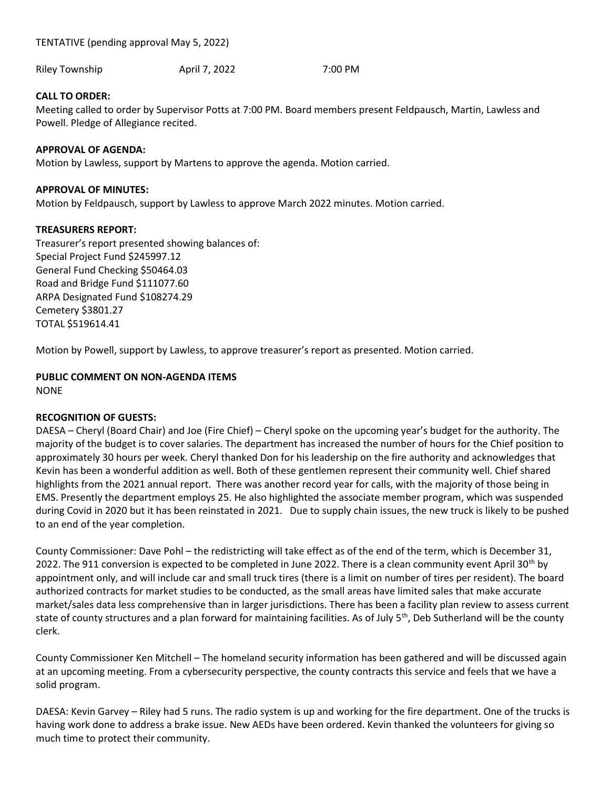Riley Township **April 7, 2022** 7:00 PM

# CALL TO ORDER:

Meeting called to order by Supervisor Potts at 7:00 PM. Board members present Feldpausch, Martin, Lawless and Powell. Pledge of Allegiance recited.

## APPROVAL OF AGENDA:

Motion by Lawless, support by Martens to approve the agenda. Motion carried.

#### APPROVAL OF MINUTES:

Motion by Feldpausch, support by Lawless to approve March 2022 minutes. Motion carried.

## TREASURERS REPORT:

Treasurer's report presented showing balances of: Special Project Fund \$245997.12 General Fund Checking \$50464.03 Road and Bridge Fund \$111077.60 ARPA Designated Fund \$108274.29 Cemetery \$3801.27 TOTAL \$519614.41

Motion by Powell, support by Lawless, to approve treasurer's report as presented. Motion carried.

# PUBLIC COMMENT ON NON-AGENDA ITEMS

NONE

# RECOGNITION OF GUESTS:

DAESA – Cheryl (Board Chair) and Joe (Fire Chief) – Cheryl spoke on the upcoming year's budget for the authority. The majority of the budget is to cover salaries. The department has increased the number of hours for the Chief position to approximately 30 hours per week. Cheryl thanked Don for his leadership on the fire authority and acknowledges that Kevin has been a wonderful addition as well. Both of these gentlemen represent their community well. Chief shared highlights from the 2021 annual report. There was another record year for calls, with the majority of those being in EMS. Presently the department employs 25. He also highlighted the associate member program, which was suspended during Covid in 2020 but it has been reinstated in 2021. Due to supply chain issues, the new truck is likely to be pushed to an end of the year completion.

County Commissioner: Dave Pohl – the redistricting will take effect as of the end of the term, which is December 31, 2022. The 911 conversion is expected to be completed in June 2022. There is a clean community event April 30<sup>th</sup> by appointment only, and will include car and small truck tires (there is a limit on number of tires per resident). The board authorized contracts for market studies to be conducted, as the small areas have limited sales that make accurate market/sales data less comprehensive than in larger jurisdictions. There has been a facility plan review to assess current state of county structures and a plan forward for maintaining facilities. As of July 5<sup>th</sup>, Deb Sutherland will be the county clerk.

County Commissioner Ken Mitchell – The homeland security information has been gathered and will be discussed again at an upcoming meeting. From a cybersecurity perspective, the county contracts this service and feels that we have a solid program.

DAESA: Kevin Garvey – Riley had 5 runs. The radio system is up and working for the fire department. One of the trucks is having work done to address a brake issue. New AEDs have been ordered. Kevin thanked the volunteers for giving so much time to protect their community.